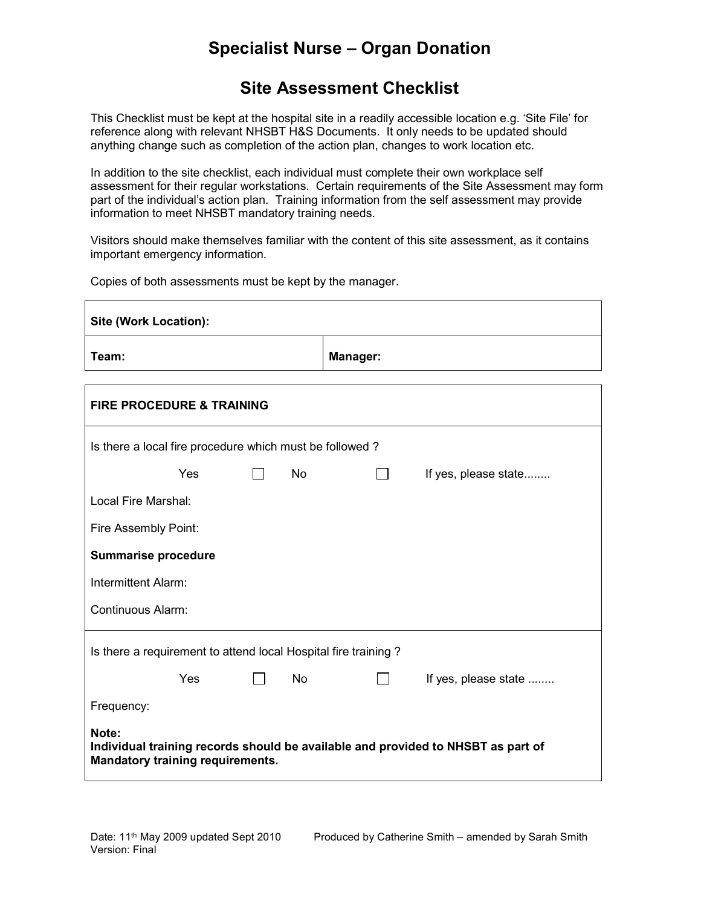#### Site Assessment Checklist

This Checklist must be kept at the hospital site in a readily accessible location e.g. 'Site File' for reference along with relevant NHSBT H&S Documents. It only needs to be updated should anything change such as completion of the action plan, changes to work location etc.

In addition to the site checklist, each individual must complete their own workplace self assessment for their regular workstations. Certain requirements of the Site Assessment may form part of the individual's action plan. Training information from the self assessment may provide information to meet NHSBT mandatory training needs.

Visitors should make themselves familiar with the content of this site assessment, as it contains important emergency information.

Copies of both assessments must be kept by the manager.

| <b>Site (Work Location):</b>                                                                                                         |                |                |                      |  |
|--------------------------------------------------------------------------------------------------------------------------------------|----------------|----------------|----------------------|--|
| Team:                                                                                                                                | Manager:       |                |                      |  |
| <b>FIRE PROCEDURE &amp; TRAINING</b>                                                                                                 |                |                |                      |  |
| Is there a local fire procedure which must be followed?                                                                              |                |                |                      |  |
| <b>Yes</b><br>$\perp$                                                                                                                | <b>No</b>      | $\blacksquare$ | If yes, please state |  |
| Local Fire Marshal:                                                                                                                  |                |                |                      |  |
| Fire Assembly Point:                                                                                                                 |                |                |                      |  |
| <b>Summarise procedure</b>                                                                                                           |                |                |                      |  |
| Intermittent Alarm:                                                                                                                  |                |                |                      |  |
| <b>Continuous Alarm:</b>                                                                                                             |                |                |                      |  |
| Is there a requirement to attend local Hospital fire training?                                                                       |                |                |                      |  |
| Yes<br>$\Box$                                                                                                                        | N <sub>o</sub> | $\mathbf{1}$   | If yes, please state |  |
| Frequency:                                                                                                                           |                |                |                      |  |
| Note:<br>Individual training records should be available and provided to NHSBT as part of<br><b>Mandatory training requirements.</b> |                |                |                      |  |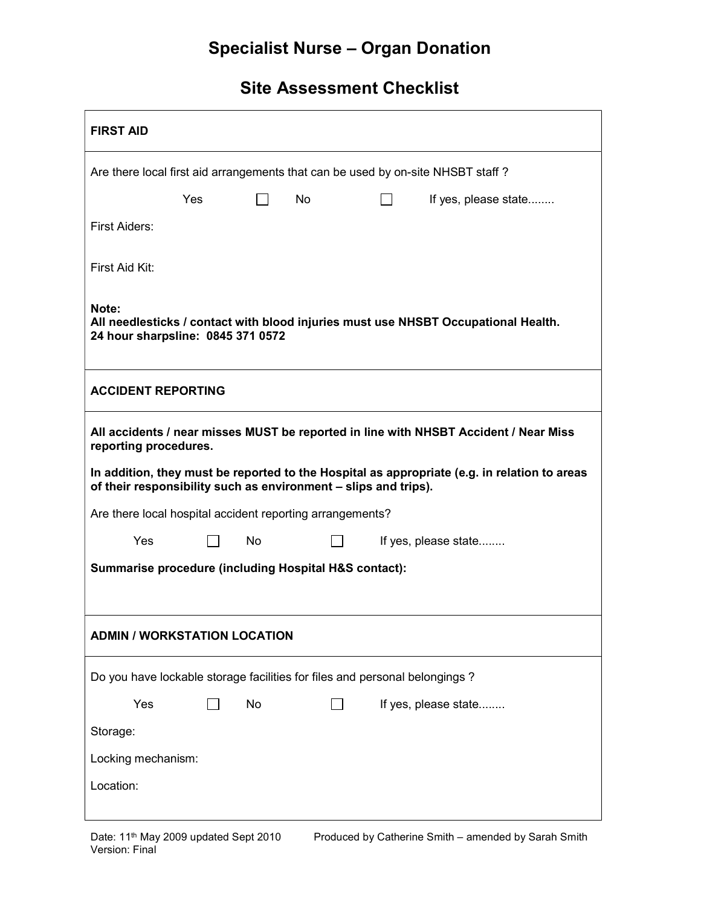| <b>FIRST AID</b>                                                                                                                                                |     |           |    |  |                      |
|-----------------------------------------------------------------------------------------------------------------------------------------------------------------|-----|-----------|----|--|----------------------|
| Are there local first aid arrangements that can be used by on-site NHSBT staff?                                                                                 |     |           |    |  |                      |
|                                                                                                                                                                 | Yes |           | No |  | If yes, please state |
| First Aiders:                                                                                                                                                   |     |           |    |  |                      |
| First Aid Kit:                                                                                                                                                  |     |           |    |  |                      |
| Note:<br>All needlesticks / contact with blood injuries must use NHSBT Occupational Health.<br>24 hour sharpsline: 0845 371 0572                                |     |           |    |  |                      |
| <b>ACCIDENT REPORTING</b>                                                                                                                                       |     |           |    |  |                      |
| All accidents / near misses MUST be reported in line with NHSBT Accident / Near Miss<br>reporting procedures.                                                   |     |           |    |  |                      |
| In addition, they must be reported to the Hospital as appropriate (e.g. in relation to areas<br>of their responsibility such as environment - slips and trips). |     |           |    |  |                      |
| Are there local hospital accident reporting arrangements?                                                                                                       |     |           |    |  |                      |
| Yes                                                                                                                                                             |     | <b>No</b> |    |  | If yes, please state |
| <b>Summarise procedure (including Hospital H&amp;S contact):</b>                                                                                                |     |           |    |  |                      |
|                                                                                                                                                                 |     |           |    |  |                      |
| <b>ADMIN / WORKSTATION LOCATION</b>                                                                                                                             |     |           |    |  |                      |
| Do you have lockable storage facilities for files and personal belongings?                                                                                      |     |           |    |  |                      |
| Yes                                                                                                                                                             |     | No        |    |  | If yes, please state |
| Storage:                                                                                                                                                        |     |           |    |  |                      |
| Locking mechanism:                                                                                                                                              |     |           |    |  |                      |
| Location:                                                                                                                                                       |     |           |    |  |                      |
|                                                                                                                                                                 |     |           |    |  |                      |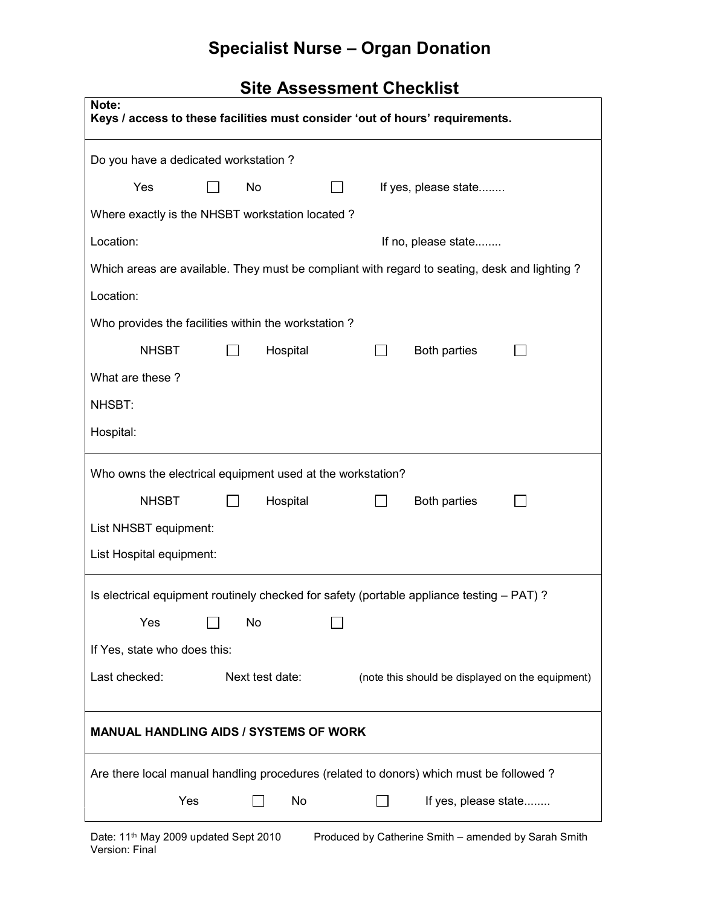| Note:<br>Keys / access to these facilities must consider 'out of hours' requirements.         |  |  |  |  |  |
|-----------------------------------------------------------------------------------------------|--|--|--|--|--|
| Do you have a dedicated workstation?                                                          |  |  |  |  |  |
| Yes<br>No<br>If yes, please state                                                             |  |  |  |  |  |
| Where exactly is the NHSBT workstation located?                                               |  |  |  |  |  |
| Location:<br>If no, please state                                                              |  |  |  |  |  |
| Which areas are available. They must be compliant with regard to seating, desk and lighting ? |  |  |  |  |  |
| Location:                                                                                     |  |  |  |  |  |
| Who provides the facilities within the workstation?                                           |  |  |  |  |  |
| <b>NHSBT</b><br>Hospital<br><b>Both parties</b>                                               |  |  |  |  |  |
| What are these?                                                                               |  |  |  |  |  |
| NHSBT:                                                                                        |  |  |  |  |  |
| Hospital:                                                                                     |  |  |  |  |  |
| Who owns the electrical equipment used at the workstation?                                    |  |  |  |  |  |
| <b>NHSBT</b><br>Hospital<br><b>Both parties</b>                                               |  |  |  |  |  |
| List NHSBT equipment:                                                                         |  |  |  |  |  |
| List Hospital equipment:                                                                      |  |  |  |  |  |
| Is electrical equipment routinely checked for safety (portable appliance testing - PAT)?      |  |  |  |  |  |
| No<br>Yes                                                                                     |  |  |  |  |  |
| If Yes, state who does this:                                                                  |  |  |  |  |  |
| Last checked:<br>Next test date:<br>(note this should be displayed on the equipment)          |  |  |  |  |  |
|                                                                                               |  |  |  |  |  |
| <b>MANUAL HANDLING AIDS / SYSTEMS OF WORK</b>                                                 |  |  |  |  |  |
| Are there local manual handling procedures (related to donors) which must be followed?        |  |  |  |  |  |
| Yes<br>No<br>If yes, please state                                                             |  |  |  |  |  |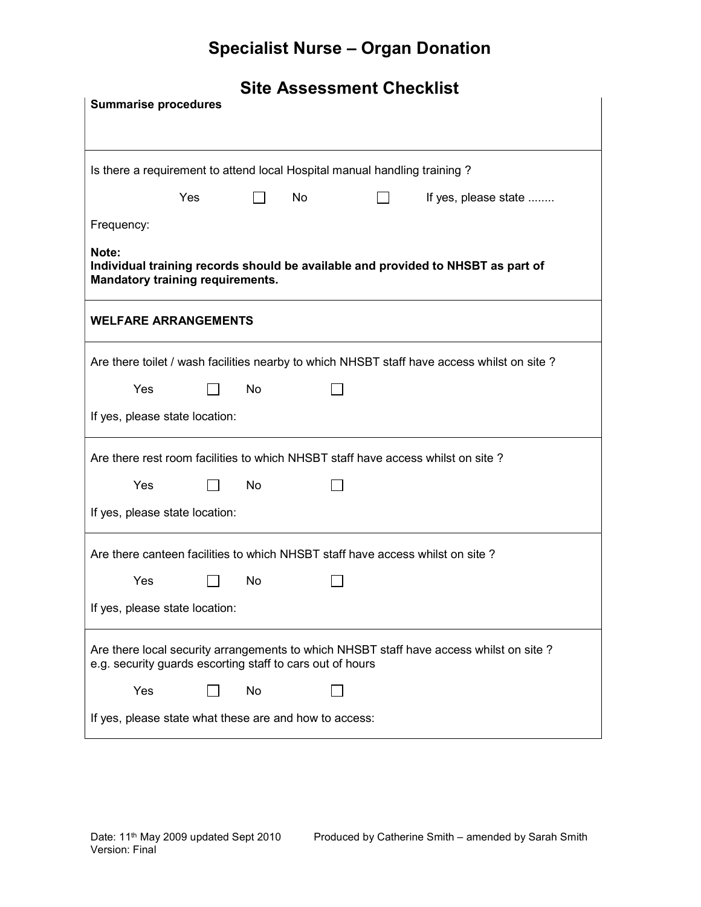| <b>Summarise procedures</b>                                                                                                                         |     |    |    |  |                                                                                            |  |
|-----------------------------------------------------------------------------------------------------------------------------------------------------|-----|----|----|--|--------------------------------------------------------------------------------------------|--|
|                                                                                                                                                     |     |    |    |  |                                                                                            |  |
| Is there a requirement to attend local Hospital manual handling training?                                                                           |     |    |    |  |                                                                                            |  |
|                                                                                                                                                     | Yes |    | No |  | If yes, please state                                                                       |  |
| Frequency:                                                                                                                                          |     |    |    |  |                                                                                            |  |
| Note:<br>Individual training records should be available and provided to NHSBT as part of<br><b>Mandatory training requirements.</b>                |     |    |    |  |                                                                                            |  |
| <b>WELFARE ARRANGEMENTS</b>                                                                                                                         |     |    |    |  |                                                                                            |  |
|                                                                                                                                                     |     |    |    |  | Are there toilet / wash facilities nearby to which NHSBT staff have access whilst on site? |  |
| Yes                                                                                                                                                 |     | No |    |  |                                                                                            |  |
| If yes, please state location:                                                                                                                      |     |    |    |  |                                                                                            |  |
| Are there rest room facilities to which NHSBT staff have access whilst on site?                                                                     |     |    |    |  |                                                                                            |  |
| Yes                                                                                                                                                 |     | No |    |  |                                                                                            |  |
| If yes, please state location:                                                                                                                      |     |    |    |  |                                                                                            |  |
| Are there canteen facilities to which NHSBT staff have access whilst on site?                                                                       |     |    |    |  |                                                                                            |  |
| Yes                                                                                                                                                 |     | No |    |  |                                                                                            |  |
| If yes, please state location:                                                                                                                      |     |    |    |  |                                                                                            |  |
| Are there local security arrangements to which NHSBT staff have access whilst on site?<br>e.g. security guards escorting staff to cars out of hours |     |    |    |  |                                                                                            |  |
| Yes                                                                                                                                                 |     | No |    |  |                                                                                            |  |
| If yes, please state what these are and how to access:                                                                                              |     |    |    |  |                                                                                            |  |